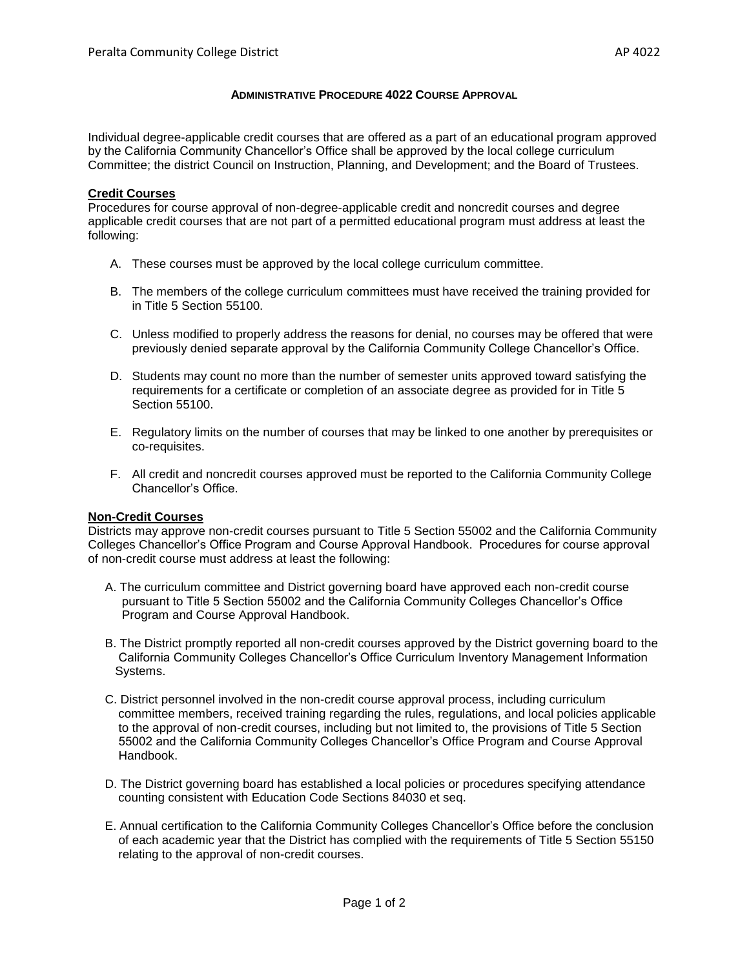## **ADMINISTRATIVE PROCEDURE 4022 COURSE APPROVAL**

Individual degree-applicable credit courses that are offered as a part of an educational program approved by the California Community Chancellor's Office shall be approved by the local college curriculum Committee; the district Council on Instruction, Planning, and Development; and the Board of Trustees.

## **Credit Courses**

Procedures for course approval of non-degree-applicable credit and noncredit courses and degree applicable credit courses that are not part of a permitted educational program must address at least the following:

- A. These courses must be approved by the local college curriculum committee.
- B. The members of the college curriculum committees must have received the training provided for in Title 5 Section 55100.
- C. Unless modified to properly address the reasons for denial, no courses may be offered that were previously denied separate approval by the California Community College Chancellor's Office.
- D. Students may count no more than the number of semester units approved toward satisfying the requirements for a certificate or completion of an associate degree as provided for in Title 5 Section 55100.
- E. Regulatory limits on the number of courses that may be linked to one another by prerequisites or co-requisites.
- F. All credit and noncredit courses approved must be reported to the California Community College Chancellor's Office.

## **Non-Credit Courses**

Districts may approve non-credit courses pursuant to Title 5 Section 55002 and the California Community Colleges Chancellor's Office Program and Course Approval Handbook. Procedures for course approval of non-credit course must address at least the following:

- A. The curriculum committee and District governing board have approved each non-credit course pursuant to Title 5 Section 55002 and the California Community Colleges Chancellor's Office Program and Course Approval Handbook.
- B. The District promptly reported all non-credit courses approved by the District governing board to the California Community Colleges Chancellor's Office Curriculum Inventory Management Information Systems.
- C. District personnel involved in the non-credit course approval process, including curriculum committee members, received training regarding the rules, regulations, and local policies applicable to the approval of non-credit courses, including but not limited to, the provisions of Title 5 Section 55002 and the California Community Colleges Chancellor's Office Program and Course Approval Handbook.
- D. The District governing board has established a local policies or procedures specifying attendance counting consistent with Education Code Sections 84030 et seq.
- E. Annual certification to the California Community Colleges Chancellor's Office before the conclusion of each academic year that the District has complied with the requirements of Title 5 Section 55150 relating to the approval of non-credit courses.